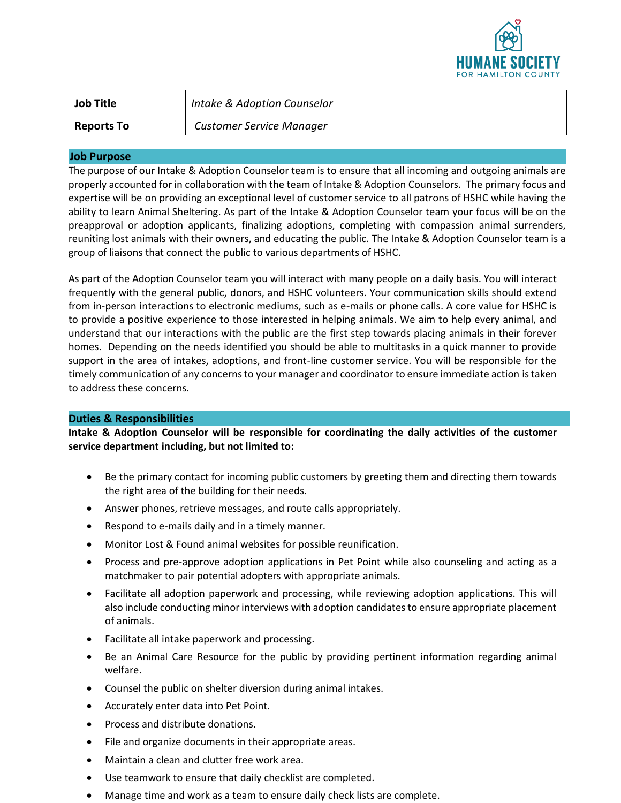

| <b>Job Title</b>  | Intake & Adoption Counselor     |
|-------------------|---------------------------------|
| <b>Reports To</b> | <b>Customer Service Manager</b> |

## **Job Purpose**

The purpose of our Intake & Adoption Counselor team is to ensure that all incoming and outgoing animals are properly accounted for in collaboration with the team of Intake & Adoption Counselors. The primary focus and expertise will be on providing an exceptional level of customer service to all patrons of HSHC while having the ability to learn Animal Sheltering. As part of the Intake & Adoption Counselor team your focus will be on the preapproval or adoption applicants, finalizing adoptions, completing with compassion animal surrenders, reuniting lost animals with their owners, and educating the public. The Intake & Adoption Counselor team is a group of liaisons that connect the public to various departments of HSHC.

As part of the Adoption Counselor team you will interact with many people on a daily basis. You will interact frequently with the general public, donors, and HSHC volunteers. Your communication skills should extend from in-person interactions to electronic mediums, such as e-mails or phone calls. A core value for HSHC is to provide a positive experience to those interested in helping animals. We aim to help every animal, and understand that our interactions with the public are the first step towards placing animals in their forever homes. Depending on the needs identified you should be able to multitasks in a quick manner to provide support in the area of intakes, adoptions, and front-line customer service. You will be responsible for the timely communication of any concerns to your manager and coordinator to ensure immediate action is taken to address these concerns.

## **Duties & Responsibilities**

**Intake & Adoption Counselor will be responsible for coordinating the daily activities of the customer service department including, but not limited to:**

- Be the primary contact for incoming public customers by greeting them and directing them towards the right area of the building for their needs.
- Answer phones, retrieve messages, and route calls appropriately.
- Respond to e-mails daily and in a timely manner.
- Monitor Lost & Found animal websites for possible reunification.
- Process and pre-approve adoption applications in Pet Point while also counseling and acting as a matchmaker to pair potential adopters with appropriate animals.
- Facilitate all adoption paperwork and processing, while reviewing adoption applications. This will also include conducting minor interviews with adoption candidates to ensure appropriate placement of animals.
- Facilitate all intake paperwork and processing.
- Be an Animal Care Resource for the public by providing pertinent information regarding animal welfare.
- Counsel the public on shelter diversion during animal intakes.
- Accurately enter data into Pet Point.
- Process and distribute donations.
- File and organize documents in their appropriate areas.
- Maintain a clean and clutter free work area.
- Use teamwork to ensure that daily checklist are completed.
- Manage time and work as a team to ensure daily check lists are complete.